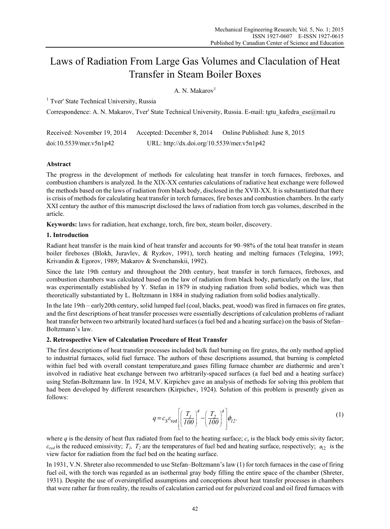# Laws of Radiation From Large Gas Volumes and Claculation of Heat Transfer in Steam Boiler Boxes

A. N. Makarov $<sup>1</sup>$ </sup>

<sup>1</sup> Tver' State Technical University, Russia

Correspondence: A. N. Makarov, Tver' State Technical University, Russia. E-mail: tgtu\_kafedra\_ese@mail.ru

| Received: November 19, 2014 | Accepted: December 8, 2014                 | Online Published: June 8, 2015 |
|-----------------------------|--------------------------------------------|--------------------------------|
| doi:10.5539/mer.v5n1p42     | URL: http://dx.doi.org/10.5539/mer.v5n1p42 |                                |

# **Abstract**

The progress in the development of methods for calculating heat transfer in torch furnaces, fireboxes, and combustion chambers is analyzed. In the XIX-XX centuries calculations of radiative heat exchange were followed the methods based on the laws of radiation from black body, disclosed in the XVII-XX. It is substantiated that there is crisis of methods for calculating heat transfer in torch furnaces, fire boxes and combustion chambers. In the early XXI century the author of this manuscript disclosed the laws of radiation from torch gas volumes, described in the article.

**Keywords:** laws for radiation, heat exchange, torch, fire box, steam boiler, discovery.

# **1. Introduction**

Radiant heat transfer is the main kind of heat transfer and accounts for 90–98% of the total heat transfer in steam boiler fireboxes (Blokh, Juravlev, & Ryzkov, 1991), torch heating and melting furnaces (Telegina, 1993; Krivandin & Egorov, 1989; Makarov & Svenchanskii, 1992).

Since the late 19th century and throughout the 20th century, heat transfer in torch furnaces, fireboxes, and combustion chambers was calculated based on the law of radiation from black body, particularly on the law, that was experimentally established by Y. Stefan in 1879 in studying radiation from solid bodies, which was then theoretically substantiated by L. Boltzmann in 1884 in studying radiation from solid bodies analytically.

In the late 19th – early20th century, solid lumped fuel (coal, blacks, peat, wood) was fired in furnaces on fire grates, and the first descriptions of heat transfer processes were essentially descriptions of calculation problems of radiant heat transfer between two arbitrarily located hard surfaces (a fuel bed and a heating surface) on the basis of Stefan– Boltzmann's law.

# **2. Retrospective View of Calculation Procedure of Heat Transfer**

The first descriptions of heat transfer processes included bulk fuel burning on fire grates, the only method applied to industrial furnaces, solid fuel furnace. The authors of these descriptions assumed, that burning is completed within fuel bed with overall constant temperature,and gases filling furnace chamber are diathermic and aren't involved in radiative heat exchange between two arbitrarily-spaced surfaces (a fuel bed and a heating surface) using Stefan-Boltzmann law. In 1924, M.V. Kirpichev gave an analysis of methods for solving this problem that had been developed by different researchers (Kirpichev, 1924). Solution of this problem is presently given as follows:

$$
q = c_S \varepsilon_{\text{red}} \left[ \left( \frac{T_I}{100} \right)^4 - \left( \frac{T_2}{100} \right)^4 \right] \phi_{12},\tag{1}
$$

where  $q$  is the density of heat flux radiated from fuel to the heating surface;  $c_s$  is the black body emis sivity factor;  $\varepsilon_{red}$  is the reduced emissivity;  $T_1$ ,  $T_2$  are the temperatures of fuel bed and heating surface, respectively;  $\phi_{12}$  is the view factor for radiation from the fuel bed on the heating surface.

In 1931, V.N. Shreter also recommended to use Stefan–Boltzmann's law (1) for torch furnaces in the case of firing fuel oil, with the torch was regarded as an isothermal gray body filling the entire space of the chamber (Shreter, 1931). Despite the use of oversimplified assumptions and conceptions about heat transfer processes in chambers that were rather far from reality, the results of calculation carried out for pulverized coal and oil fired furnaces with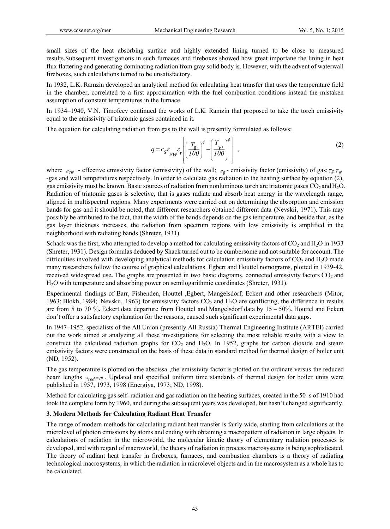small sizes of the heat absorbing surface and highly extended lining turned to be close to measured results.Subsequent investigations in such furnaces and fireboxes showed how great importane the lining in heat flux flattering and generating dominating radiation from gray solid body is. However, with the advent of waterwall fireboxes, such calculations turned to be unsatisfactory.

In 1932, L.K. Ramzin developed an analytical method for calculating heat transfer that uses the temperature field in the chamber, correlated to a first approximation with the fuel combustion conditions instead the mistaken assumption of constant temperatures in the furnace.

In 1934–1940, V.N. Timofeev continued the works of L.K. Ramzin that proposed to take the torch emissivity equal to the emissivity of triatomic gases contained in it.

The equation for calculating radiation from gas to the wall is presently formulated as follows:

$$
q = c_{S} \varepsilon_{ew} \varepsilon_{\rm r} \left[ \left( \frac{T_{\rm g}}{100} \right)^4 - \left( \frac{T_{\rm w}}{100} \right)^4 \right] \,, \tag{2}
$$

where  $\varepsilon_{ew}$  - effective emissivity factor (emissivity) of the wall;  $\varepsilon_{g}$  - emissivity factor (emissivity) of gas;  $T_g$ , $T_w$ -gas and wall temperatures respectively. In order to calculate gas radiation to the heating surface by equation (2), gas emissivity must be known. Basic sources of radiation from nonluminous torch are triatomic gases  $CO<sub>2</sub>$  and  $H<sub>2</sub>O$ . Radiation of triatomic gases is selective, that is gases radiate and absorb heat energy in the wavelength range, aligned in multispectral regions. Many experiments were carried out on determining the absorption and emission bands for gas and it should be noted, that different researchers obtained different data (Nevskii, 1971). This may possibly be attributed to the fact, that the width of the bands depends on the gas temperature, and beside that, as the gas layer thickness increases, the radiation from spectrum regions with low emissivity is amplified in the neighborhood with radiating bands (Shreter, 1931).

Schack was the first, who attempted to develop a method for calculating emissivity factors of  $CO_2$  and  $H_2O$  in 1933 (Shreter, 1931). Design formulas deduced by Shack turned out to be cumbersome and not suitable for account. The difficulties involved with developing analytical methods for calculation emissivity factors of  $CO<sub>2</sub>$  and  $H<sub>2</sub>O$  made many researchers follow the course of graphical calculations. Egbert and Houttel nomograms, plotted in 1939-42, received widespread use. The graphs are presented in two basic diagrams, connected emissivity factors CO<sub>2</sub> and Н2О with temperature and absorbing power on semilogarithmic ccordinates (Shreter, 1931).

Experimental findings of Barr, Fishenden, Houttel ,Egbert, Mangelsdorf, Eckert and other researchers (Mitor, 1963; Blokh, 1984; Nevskii, 1963) for emissivity factors  $CO<sub>2</sub>$  and  $H<sub>2</sub>O$  are conflicting, the difference in results are from 5 to 70 %**.** Eckert data departure from Houttel and Mangelsdorf data by 15 – 50%. Houttel and Eckert don't offer a satisfactory explanation for the reasons, caused such significant experimental data gaps.

In 1947–1952, specialists of the All Union (presently All Russia) Thermal Engineering Institute (ARTEI) carried out the work aimed at analyzing all these investigations for selecting the most reliable results with a view to construct the calculated radiation graphs for  $CO_2$  and  $H_2O$ . In 1952, graphs for carbon dioxide and steam emissivity factors were constructed on the basis of these data in standard method for thermal design of boiler unit (ND, 1952).

The gas temperature is plotted on the abscissa ,the emissivity factor is plotted on the ordinate versus the reduced beam lengths *x*<sub>red</sub> =  $p$ *l*. Updated and specified uniform time standards of thermal design for boiler units were published in 1957, 1973, 1998 (Energiya, 1973; ND, 1998).

Method for calculating gas self- radiation and gas radiation on the heating surfaces, created in the 50–s of 1910 had took the complete form by 1960, and during the subsequent years was developed, but hasn't changed significantly.

#### **3. Modern Methods for Calculating Radiant Heat Transfer**

The range of modern methods for calculating radiant heat transfer is fairly wide, starting from calculations at the microlevel of photon emissions by atoms and ending with obtaining a macropattern of radiation in large objects. In calculations of radiation in the microworld, the molecular kinetic theory of elementary radiation processes is developed, and with regard of macroworld, the theory of radiation in process macrosystems is being sophisticated. The theory of radiant heat transfer in fireboxes, furnaces, and combustion chambers is a theory of radiating technological macrosystems, in which the radiation in microlevel objects and in the macrosystem as a whole has to be calculated.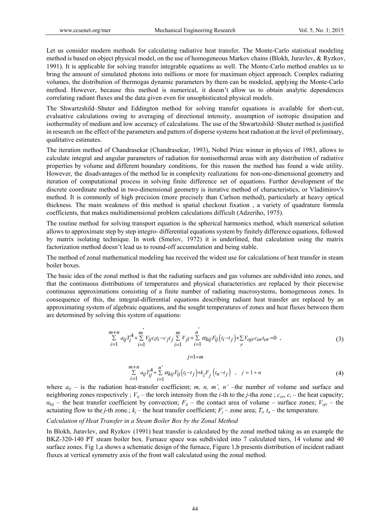Let us consider modern methods for calculating radiative heat transfer. The Monte-Carlo statistical modeling method is based on object physical model, on the use of homogeneous Markov chains (Blokh, Juravlev, & Ryzkov, 1991). It is applicable for solving transfer integrable equations as well. The Monte-Carlo method enables us to bring the amount of simulated photons into millions or more for maximum object approach. Complex radiating volumes, the distribution of thermogas dynamic parameters by them can be modeled, applying the Monte-Carlo method. However, because this method is numerical, it doesn't allow us to obtain analytic dependences correlating radiant fluxes and the data given even for unsophisticated physical models.

The Shwartzshild–Shuter and Eddington method for solving transfer equations is available for short-cut, evaluative calculations owing to averaging of directional intensity, assumption of isotropic dissipation and isothermality of medium and low accuracy of calculations. The use of the Shwartzshild–Shuter method is justified in research on the effect of the parameters and pattern of disperse systems heat radiation at the level of preliminary, qualitative estimates.

The iteration method of Chandrasekar (Chandrasekar, 1993), Nobel Prize winner in physics of 1983, allows to calculate integral and angular parameters of radiation for nonisothermal areas with any distribution of radiative properties by volume and different boundary conditions, for this reason the method has found a wide utility. However, the disadvantages of the method lie in complexity realizations for non-one-dimensional geometry and iteration of computational process in solving finite difference set of equations. Further development of the discrete coordinate method in two-dimensional geometry is iterative method of characteristics, or Vladimirov's method. It is commonly of high precision (more precisely than Carlson method), particularly at heavy optical thickness. The main weakness of this method is spatial checkout fixation , a variety of quadrature formula coefficients, that makes multidimensional problem calculations difficult (Adzeriho, 1975).

The routine method for solving transport equation is the spherical harmonics method, which numerical solution allows to approximate step by step integro- differential equations system by finitely difference equations, followed by matrix isolating technique. In work (Smelov, 1972) it is underlined, that calculation using the matrix factorization method doesn't lead us to round-off accumulation and being stable.

The method of zonal mathematical modeling has received the widest use for calculations of heat transfer in steam boiler boxes.

The basic idea of the zonal method is that the radiating surfaces and gas volumes are subdivided into zones, and that the continuous distributions of temperatures and physical characteristics are replaced by their piecewise continuous approximations consisting of a finite number of radiating macrosystems, homogeneous zones. In consequence of this, the integral-differential equations describing radiant heat transfer are replaced by an approximating system of algebraic equations, and the sought temperatures of zones and heat fluxes between them are determined by solving this system of equations:

$$
\sum_{i=1}^{m+n} a_{ij} T_i^4 + \sum_{i=1}^{m} V_{ij} c_i t_i - c_j t_j \sum_{i=1}^{m} V_{jl} + \sum_{i=1}^{n} \alpha_{kij} F_{ij} (t_i - t_j) + \sum_{r} V_{oj} r c_{or} t_{or} = 0 \quad , \tag{3}
$$

 $j=1+m$ 

$$
\sum_{i=1}^{m+n} a_{ij} T_{ij}^4 + \sum_{i=1}^{n'} \alpha_{kij} F_{ij} (t_i - t_j) + k_i F_j (t_n - t_j) , \quad j = 1 + n
$$
 (4)

where  $a_{ij}$  – is the radiation heat-transfer coefficient; *m, n, m', n'* –the number of volume and surface and neighboring zones respectively ;  $V_{ij}$  – the torch intensity from the *i*-th to the *j*-tha zone ;  $c_{or}$ ,  $c_i$  – the heat capacity;  $a_{kij}$  – the heat transfer coefficient by convection;  $F_{ij}$  – the contact area of volume – surface zones;  $V_{oir}$  – the actuiating flow to the *j*-th zone.;  $k_j$  – the heat transfer coefficient;  $F_j$  – zone area;  $T_k$ ,  $t_n$  – the temperature.

## *Calculation of Heat Transfer in a Steam Boiler Box by the Zonal Method*

In Blokh, Juravlev, and Ryzkov (1991) heat transfer is calculated by the zonal method taking as an example the BKZ-320-140 PT steam boiler box. Furnace space was subdivided into 7 calculated tiers, 14 volume and 40 surface zones. Fig 1,a shows a schematic design of the furnace, Figure 1,b presents distribution of incident radiant fluxes at vertical symmetry axis of the front wall calculated using the zonal method.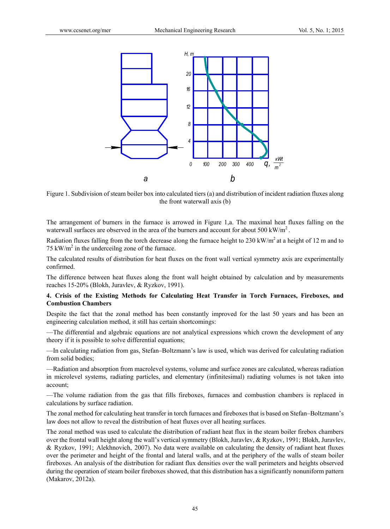

Figure 1. Subdivision of steam boiler box into calculated tiers (а) and distribution of incident radiation fluxes along the front waterwall axis (b)

The arrangement of burners in the furnace is arrowed in Figure 1,a. The maximal heat fluxes falling on the waterwall surfaces are observed in the area of the burners and account for about 500 kW/m<sup>2</sup>.

Radiation fluxes falling from the torch decrease along the furnace height to 230 kW/m<sup>2</sup> at a height of 12 m and to 75 kW/ $m<sup>2</sup>$  in the underceilng zone of the furnace.

The calculated results of distribution for heat fluxes on the front wall vertical symmetry axis are experimentally confirmed.

The difference between heat fluxes along the front wall height obtained by calculation and by measurements reaches 15-20% (Blokh, Juravlev, & Ryzkov, 1991).

## **4. Crisis of the Existing Methods for Calculating Heat Transfer in Torch Furnaces, Fireboxes, and Combustion Chambers**

Despite the fact that the zonal method has been constantly improved for the last 50 years and has been an engineering calculation method, it still has certain shortcomings:

—The differential and algebraic equations are not analytical expressions which crown the development of any theory if it is possible to solve differential equations;

—In calculating radiation from gas, Stefan–Boltzmann's law is used, which was derived for calculating radiation from solid bodies;

—Radiation and absorption from macrolevel systems, volume and surface zones are calculated, whereas radiation in microlevel systems, radiating particles, and elementary (infinitesimal) radiating volumes is not taken into account;

—The volume radiation from the gas that fills fireboxes, furnaces and combustion chambers is replaced in calculations by surface radiation.

The zonal method for calculating heat transfer in torch furnaces and fireboxes that is based on Stefan–Boltzmann's law does not allow to reveal the distribution of heat fluxes over all heating surfaces.

The zonal method was used to calculate the distribution of radiant heat flux in the steam boiler firebox chambers over the frontal wall height along the wall's vertical symmetry (Blokh, Juravlev, & Ryzkov, 1991; Blokh, Juravlev, & Ryzkov, 1991; Alekhnovich, 2007). No data were available on calculating the density of radiant heat fluxes over the perimeter and height of the frontal and lateral walls, and at the periphery of the walls of steam boiler fireboxes. An analysis of the distribution for radiant flux densities over the wall perimeters and heights observed during the operation of steam boiler fireboxes showed, that this distribution has a significantly nonuniform pattern (Makarov, 2012a).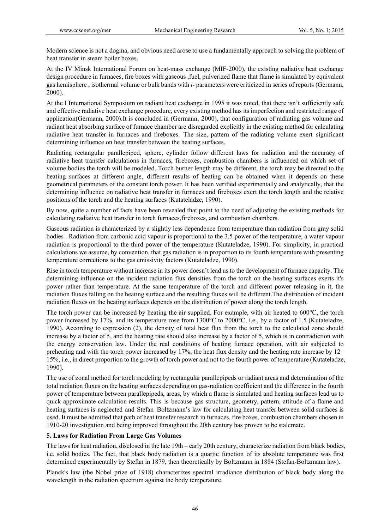Modern science is not a dogma, and obvious need arose to use a fundamentally approach to solving the problem of heat transfer in steam boiler boxes.

At the IV Minsk International Forum on heat-mass exchange (MIF-2000), the existing radiative heat exchange design procedure in furnaces, fire boxes with gaseous ,fuel, pulverized flame that flame is simulated by equivalent gas hemisphere , isothermal volume or bulk bands with *i*- parameters were criticized in series of reports (Germann, 2000).

At the I International Symposium on radiant heat exchange in 1995 it was noted, that there isn't sufficiently safe and effective radiative heat exchange procedure, every existing method has its imperfection and restricted range of application(Germann, 2000).It is concluded in (Germann, 2000), that configuration of radiating gas volume and radiant heat absorbing surface of furnace chamber are disregarded explicitly in the existing method for calculating radiative heat transfer in furnaces and fireboxes. The size, pattern of the radiating volume exert significant determining influence on heat transfer between the heating surfaces.

Radiating rectangular parallepiped, sphere, cylinder follow different laws for radiation and the accuracy of radiative heat transfer calculations in furnaces, fireboxes, combustion chambers is influenced on which set of volume bodies the torch will be modeled. Torch burner length may be different, the torch may be directed to the heating surfaces at different angle, different results of heating can be obtained when it depends on these geometrical parameters of the constant torch power. It has been verified experimentally and analytically, that the determining influence on radiative heat transfer in furnaces and fireboxes exert the torch length and the relative positions of the torch and the heating surfaces (Kutateladze, 1990).

By now, quite a number of facts have been revealed that point to the need of adjusting the existing methods for calculating radiative heat transfer in torch furnaces,fireboxes, and combustion chambers.

Gaseous radiation is characterized by a slightly less dependence from temperature than radiation from gray solid bodies . Radiation from carbonic acid vapour is proportional to the 3.5 power of the temperature, а water vapour radiation is proportional to the third power of the temperature (Kutateladze, 1990). For simplicity, in practical calculations we assume, by convention, that gas radiation is in proportion to its fourth temperature with presenting temperature corrections to the gas emissivity factors (Kutateladze, 1990).

Rise in torch temperature without increase in its power doesn't lead us to the development of furnace capacity. The determining influence on the incident radiation flux densities from the torch on the heating surfaces exerts it's power rather than temperature. At the same temperature of the torch and different power releasing in it, the radiation fluxes falling on the heating surface and the resulting fluxes will be different.The distribution of incident radiation fluxes on the heating surfaces depends on the distribution of power along the torch length.

The torch power can be increased by heating the air supplied. For example, with air heated to 600°C, the torch power increased by 17%, and its temperature rose from 1300°C to 2000°C, i.e., by a factor of 1.5 (Kutateladze, 1990). According to expression (2), the density of total heat flux from the torch to the calculated zone should increase by a factor of 5, and the heating rate should also increase by a factor of 5, which is in contradiction with the energy conservation law. Under the real conditions of heating furnace operation, with air subjected to preheating and with the torch power increased by 17%, the heat flux density and the heating rate increase by 12– 15%, i.e., in direct proportion to the growth of torch power and not to the fourth power of temperature (Kutateladze, 1990).

The use of zonal method for torch modeling by rectangular parallepipeds or radiant areas and determination of the total radiation fluxes on the heating surfaces depending on gas-radiation coefficient and the difference in the fourth power of temperature between parallepipeds, areas, by which a flame is simulated and heating surfaces lead us to quick approximate calculation results. This is because gas structure, geometry, pattern, attitude of a flame and heating surfaces is neglected and Stefan–Boltzmann's law for calculating heat transfer between solid surfaces is used. It must be admitted that path of heat transfer research in furnaces, fire boxes, combustion chambers chosen in 1910-20 investigation and being improved throughout the 20th century has proven to be stalemate.

## **5. Laws for Radiation From Large Gas Volumes**

The laws for heat radiation, disclosed in the late 19th – early 20th century, characterize radiation from black bodies, i.e. solid bodies. The fact, that black body radiation is a quartic function of its absolute temperature was first determined experimentally by Stefan in 1879, then theoretically by Boltzmann in 1884 (Stefan-Boltzmann law).

Planck's law (the Nobel prize of 1918) characterizes spectral irradiance distribution of black body along the wavelength in the radiation spectrum against the body temperature.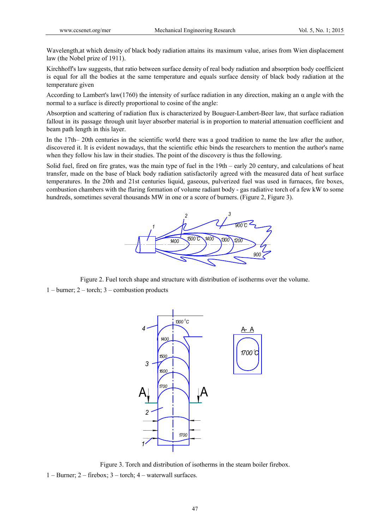Wavelength,at which density of black body radiation attains its maximum value, arises from Wien displacement law (the Nobel prize of 1911).

Kirchhoff's law suggests, that ratio between surface density of real body radiation and absorption body coefficient is equal for all the bodies at the same temperature and equals surface density of black body radiation at the temperature given

According to Lambert's law(1760) the intensity of surface radiation in any direction, making an  $\alpha$  angle with the normal to a surface is directly proportional to cosine of the angle:

Absorption and scattering of radiation flux is characterized by Bouguer-Lambert-Beer law, that surface radiation fallout in its passage through unit layer absorber material is in proportion to material attenuation coefficient and beam path length in this layer.

In the 17th– 20th centuries in the scientific world there was a good tradition to name the law after the author, discovered it. It is evident nowadays, that the scientific ethic binds the researchers to mention the author's name when they follow his law in their studies. The point of the discovery is thus the following.

Solid fuel, fired on fire grates, was the main type of fuel in the 19th – early 20 century, and calculations of heat transfer, made on the base of black body radiation satisfactorily agreed with the measured data of heat surface temperatures. In the 20th and 21st centuries liquid, gaseous, pulverized fuel was used in furnaces, fire boxes, combustion chambers with the flaring formation of volume radiant body - gas radiative torch of a few kW to some hundreds, sometimes several thousands MW in one or a score of burners. (Figure 2, Figure 3).



Figure 2. Fuel torch shape and structure with distribution of isotherms over the volume. 1 – burner; 2 – torch; 3 – combustion products



Figure 3. Torch and distribution of isotherms in the steam boiler firebox. 1 – Burner; 2 – firebox; 3 – torch; 4 – waterwall surfaces.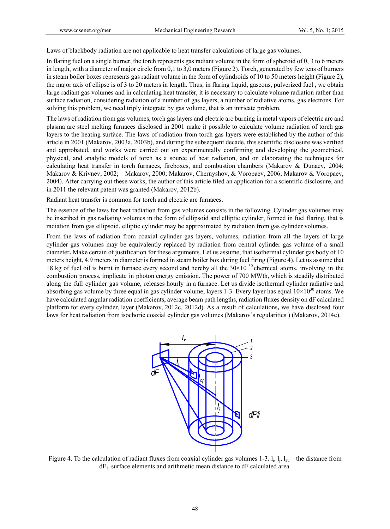Laws of blackbody radiation are not applicable to heat transfer calculations of large gas volumes.

In flaring fuel on a single burner, the torch represents gas radiant volume in the form of spheroid of 0, 3 to 6 meters in length, with a diameter of major circle from 0,1 to 3,0 meters (Figure 2). Torch, generated by few tens of burners in steam boiler boxes represents gas radiant volume in the form of cylindroids of 10 to 50 meters height (Figure 2), the major axis of ellipse is of 3 to 20 meters in length. Thus, in flaring liquid, gaseous, pulverized fuel , we obtain large radiant gas volumes and in calculating heat transfer, it is necessary to calculate volume radiation rather than surface radiation, considering radiation of a number of gas layers, a number of radiative atoms, gas electrons. For solving this problem, we need triply integrate by gas volume, that is an intricate problem.

The laws of radiation from gas volumes, torch gas layers and electric arc burning in metal vapors of electric arc and plasma arc steel melting furnaces disclosed in 2001 make it possible to calculate volume radiation of torch gas layers to the heating surface. The laws of radiation from torch gas layers were established by the author of this article in 2001 (Makarov, 2003a, 2003b), and during the subsequent decade, this scientific disclosure was verified and approbated, and works were carried out on experimentally confirming and developing the geometrical, physical, and analytic models of torch as a source of heat radiation, and on elaborating the techniques for calculating heat transfer in torch furnaces, fireboxes, and combustion chambers (Makarov & Dunaev, 2004; Makarov & Krivnev, 2002; Makarov, 2000; Makarov, Chernyshov, & Voropaev, 2006; Makarov & Voropaev, 2004). After carrying out these works, the author of this article filed an application for a scientific disclosure, and in 2011 the relevant patent was granted (Makarov, 2012b).

Radiant heat transfer is common for torch and electric arc furnaces.

The essence of the laws for heat radiation from gas volumes consists in the following. Cylinder gas volumes may be inscribed in gas radiating volumes in the form of ellipsoid and elliptic cylinder, formed in fuel flaring, that is radiation from gas ellipsoid, elliptic cylinder may be approximated by radiation from gas cylinder volumes.

From the laws of radiation from coaxial cylinder gas layers, volumes, radiation from all the layers of large cylinder gas volumes may be equivalently replaced by radiation from central cylinder gas volume of a small diameter**.** Make certain of justification for these arguments. Let us assume, that isothermal cylinder gas body of 10 meters height, 4.9 meters in diameter is formed in steam boiler box during fuel firing (Figure 4). Let us assume that 18 kg of fuel oil is burnt in furnace every second and hereby all the  $30\times10^{-30}$  chemical atoms, involving in the combustion process, implicate in photon energy emission. The power of 700 MWth, which is steadily distributed along the full cylinder gas volume, releases hourly in a furnace. Let us divide isothermal cylinder radiative and absorbing gas volume by three equal in gas cylinder volume, layers 1-3. Every layer has equal  $10\times10^{30}$  atoms. We have calculated angular radiation coefficients, average beam path lengths, radiation fluxes density on dF calculated platform for every cylinder, layer (Makarov, 2012c, 2012d). As a result of calculations**,** we have disclosed four laws for heat radiation from isochoric coaxial cylinder gas volumes (Makarov's regularities ) (Makarov, 2014e).



Figure 4. To the calculation of radiant fluxes from coaxial cylinder gas volumes 1-3. l<sub>i</sub>, l<sub>j</sub>, l<sub>av</sub> – the distance from  $dF_{1i}$  surface elements and arithmetic mean distance to  $dF$  calculated area.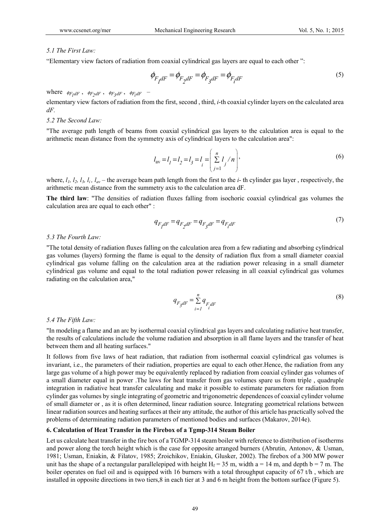#### *5.1 The First Law:*

"Elementary view factors of radiation from coaxial cylindrical gas layers are equal to each other ":

$$
\phi_{F_{I}dF} = \phi_{F_{2}dF} = \phi_{F_{3}dF} = \phi_{F_{I}dF}
$$
\n<sup>(5)</sup>

where  $\phi_{F_1 dF}$ ,  $\phi_{F_2 dF}$ ,  $\phi_{F_3 dF}$ ,  $\phi_{F_i dF}$  –

elementary view factors of radiation from the first, second , third, *i*-th coaxial cylinder layers on the calculated area *dF.*

## *5.2 The Second Law:*

"The average path length of beams from coaxial cylindrical gas layers to the calculation area is equal to the arithmetic mean distance from the symmetry axis of cylindrical layers to the calculation area":

$$
l_{\rm av} = l_{I} = l_{2} = l_{3} = l_{i} = \left(\sum_{j=1}^{n} l_{j} / n\right),\tag{6}
$$

where,  $l_1$ ,  $l_2$ ,  $l_3$ ,  $l_4$ ,  $l_{av}$  – the average beam path length from the first to the *i*-th cylinder gas layer, respectively, the arithmetic mean distance from the summetry axis to the calculation area dF.

**The third law**: "The densities of radiation fluxes falling from isochoric coaxial cylindrical gas volumes the calculation area are equal to each other" :

$$
q_{F_1dF} = q_{F_2dF} = q_{F_3dF} = q_{F_i dF}
$$
\n(7)

#### *5.3 The Fourth Law:*

"The total density of radiation fluxes falling on the calculation area from a few radiating and absorbing cylindrical gas volumes (layers) forming the flame is equal to the density of radiation flux from a small diameter coaxial cylindrical gas volume falling on the calculation area at the radiation power releasing in a small diameter cylindrical gas volume and equal to the total radiation power releasing in all coaxial cylindrical gas volumes radiating on the calculation area,"

$$
q_{F_3 dF} = \sum_{i=1}^{n} q_{F_i dF}
$$
\n<sup>(8)</sup>

#### *5.4 The Fifth Law:*

"In modeling a flame and an arc by isothermal coaxial cylindrical gas layers and calculating radiative heat transfer, the results of calculations include the volume radiation and absorption in all flame layers and the transfer of heat between them and all heating surfaces."

It follows from five laws of heat radiation, that radiation from isothermal coaxial cylindrical gas volumes is invariant, i.e., the parameters of their radiation, properties are equal to each other.Hence, the radiation from any large gas volume of a high power may be equivalently replaced by radiation from coaxial cylinder gas volumes of a small diameter equal in power .The laws for heat transfer from gas volumes spare us from triple , quadruple integration in radiative heat transfer calculating and make it possible to estimate parameters for radiation from cylinder gas volumes by single integrating of geometric and trigonometric dependences of coaxial cylinder volume of small diameter or , as it is often determined, linear radiation source. Integrating geometrical relations between linear radiation sources and heating surfaces at their any attitude, the author of this article has practically solved the problems of determinating radiation parameters of mentioned bodies and surfaces (Makarov, 2014e).

## **6. Calculation of Heat Transfer in the Firebox of a Tgmp-314 Steam Boiler**

Let us calculate heat transfer in the fire box of a TGMP-314 steam boiler with reference to distribution of isotherms and power along the torch height which is the case for opposite arranged burners (Abrutin, Antonov, & Usman, 1981; Usman, Eniakin, & Filatov, 1985; Zroichikov, Eniakin, Glusker, 2002). The firebox of a 300 MW power unit has the shape of a rectangular parallelepiped with height  $H_f = 35$  m, width a = 14 m, and depth b = 7 m. The boiler operates on fuel oil and is equipped with 16 burners with a total throughput capacity of 67 t/h, which are installed in opposite directions in two tiers,8 in each tier at 3 and 6 m height from the bottom surface (Figure 5).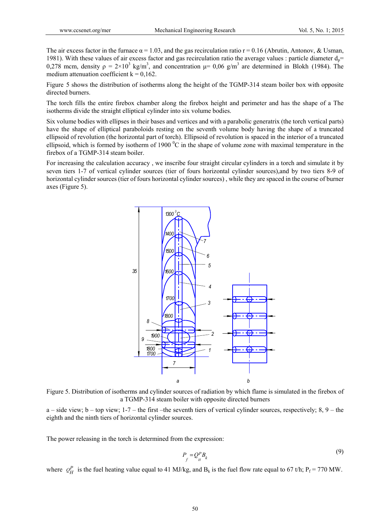The air excess factor in the furnace  $\alpha = 1.03$ , and the gas recirculation ratio r = 0.16 (Abrutin, Antonov, & Usman, 1981). With these values of air excess factor and gas recirculation ratio the average values : particle diameter  $d_p$ = 0,278 mcm, density  $\rho = 2 \times 10^3$  kg/m<sup>3</sup>, and concentration  $\mu$  = 0,06 g/m<sup>3</sup> are determined in Blokh (1984). The medium attenuation coefficient  $k = 0,162$ .

Figure 5 shows the distribution of isotherms along the height of the TGMP-314 steam boiler box with opposite directed burners.

The torch fills the entire firebox chamber along the firebox height and perimeter and has the shape of a The isotherms divide the straight elliptical cylinder into six volume bodies.

Six volume bodies with ellipses in their bases and vertices and with a parabolic generatrix (the torch vertical parts) have the shape of elliptical paraboloids resting on the seventh volume body having the shape of a truncated ellipsoid of revolution (the horizontal part of torch). Ellipsoid of revolution is spaced in the interior of a truncated ellipsoid, which is formed by isotherm of 1900 $\mathrm{^0C}$  in the shape of volume zone with maximal temperature in the firebox of a TGMP-314 steam boiler.

For increasing the calculation accuracy , we inscribe four straight circular cylinders in a torch and simulate it by seven tiers 1-7 of vertical cylinder sources (tier of fours horizontal cylinder sources),and by two tiers 8-9 of horizontal cylinder sources (tier of fours horizontal cylinder sources) , while they are spaced in the course of burner axes (Figure 5).



Figure 5. Distribution of isotherms and cylinder sources of radiation by which flame is simulated in the firebox of a TGMP-314 steam boiler with opposite directed burners

 $a$  – side view;  $b$  – top view; 1-7 – the first –the seventh tiers of vertical cylinder sources, respectively; 8, 9 – the eighth and the ninth tiers of horizontal cylinder sources.

The power releasing in the torch is determined from the expression:

$$
P_f = Q_f^P B_k \tag{9}
$$

where  $Q_H^P$  is the fuel heating value equal to 41 MJ/kg, and B<sub>k</sub> is the fuel flow rate equal to 67 t/h; P<sub>f</sub> = 770 MW.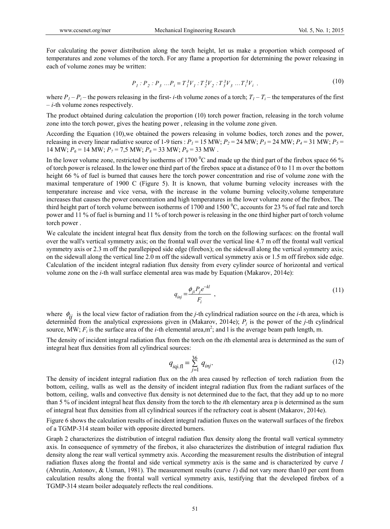For calculating the power distribution along the torch height, let us make a proportion which composed of temperatures and zone volumes of the torch. For any flame a proportion for determining the power releasing in each of volume zones may be written:

$$
P_1: P_2: P_3 \dots P_i = T_1^3 V_1: T_2^3 V_2: T_3^3 V_3 \dots T_i^3 V_i \tag{10}
$$

where  $P_1 - P_i$  – the powers releasing in the first- *i*-th volume zones of a torch;  $T_1 - T_i$  – the temperatures of the first – *i*-th volume zones respectively.

The product obtained during calculation the proportion (10) torch power fraction, releasing in the torch volume zone into the torch power, gives the heating power , releasing in the volume zone given.

According the Equation (10),we obtained the powers releasing in volume bodies, torch zones and the power, releasing in every linear radiative source of 1-9 tiers :  $P_1 = 15 \text{ MW}$ ;  $P_2 = 24 \text{ MW}$ ;  $P_3 = 24 \text{ MW}$ ;  $P_4 = 31 \text{ MW}$ ;  $P_5 = 24 \text{ MW}$ 14 MW;  $P_6 = 14$  MW;  $P_7 = 7.5$  MW;  $P_8 = 33$  MW;  $P_9 = 33$  MW.

In the lower volume zone, restricted by isotherms of 1700  $\rm{^0C}$  and made up the third part of the firebox space 66 % of torch power is released. In the lower one third part of the firebox space at a distance of 0 to 11 m over the bottom height 66 % of fuel is burned that causes here the torch power concentration and rise of volume zone with the maximal temperature of 1900 С (Figure 5). It is known, that volume burning velocity increases with the temperature increase and vice versa, with the increase in the volume burning velocity,volume temperature increases that causes the power concentration and high temperatures in the lower volume zone of the firebox. The third height part of torch volume between isotherms of 1700 and 1500  $^0C$ , accounts for 23 % of fuel rate and torch power and 11 % of fuel is burning and 11 % of torch power is releasing in the one third higher part of torch volume torch power .

We calculate the incident integral heat flux density from the torch on the following surfaces: on the frontal wall over the wall's vertical symmetry axis; on the frontal wall over the vertical line 4.7 m off the frontal wall vertical symmetry axis or 2.3 m off the parallepiped side edge (firebox); on the sidewall along the vertical symmetry axis; on the sidewall along the vertical line 2.0 m off the sidewall vertical symmetry axis or 1.5 m off firebox side edge. Calculation of the incident integral radiation flux density from every cylinder source of horizontal and vertical volume zone on the *i*-th wall surface elemental area was made by Equation (Makarov, 2014e):

$$
q_{inj} = \frac{\phi_{ji} P_j e^{-kl}}{F_i} \tag{11}
$$

where  $\phi_{ij}$  is the local view factor of radiation from the *j*-th cylindrical radiation source on the *i*-th area, which is determined from the analytical expressions given in (Makarov, 2014e);  $P_i$  is the power of the *j*-th cylindrical source, MW;  $F_i$  is the surface area of the *i*-th elemental area,m<sup>2</sup>; and l is the average beam path length, m.

The density of incident integral radiation flux from the torch on the *i*th elemental area is determined as the sum of integral heat flux densities from all cylindrical sources:

$$
q_{i\neq j, \text{fl}} = \sum_{j=1}^{36} q_{inj}.
$$
 (12)

The density of incident integral radiation flux on the *i*th area caused by reflection of torch radiation from the bottom, ceiling, walls as well as the density of incident integral radiation flux from the radiant surfaces of the bottom, ceiling, walls and convective flux density is not determined due to the fact, that they add up to no more than 5 % of incident integral heat flux density from the torch to the *i*th elementary area p is determined as the sum of integral heat flux densities from all cylindrical sources if the refractory coat is absent (Makarov, 2014e).

Figure 6 shows the calculation results of incident integral radiation fluxes on the waterwall surfaces of the firebox of a TGMP-314 steam boiler with opposite directed burners.

Graph 2 characterizes the distribution of integral radiation flux density along the frontal wall vertical symmetry axis. In consequence of symmetry of the firebox, it also characterizes the distribution of integral radiation flux density along the rear wall vertical symmetry axis. According the measurement results the distribution of integral radiation fluxes along the frontal and side vertical symmetry axis is the same and is characterized by curve *1* (Abrutin, Antonov, & Usman, 1981). The measurement results (curve *1*) did not vary more than10 per cent from calculation results along the frontal wall vertical symmetry axis, testifying that the developed firebox of a TGMP-314 steam boiler adequately reflects the real conditions.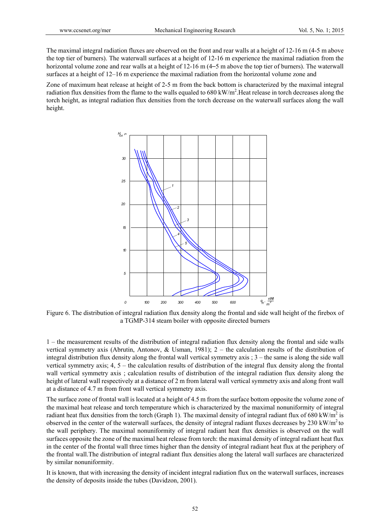The maximal integral radiation fluxes are observed on the front and rear walls at a height of 12-16 m (4-5 m above the top tier of burners). The waterwall surfaces at a height of 12-16 m experience the maximal radiation from the horizontal volume zone and rear walls at a height of 12-16 m (4–5 m above the top tier of burners). The waterwall surfaces at a height of 12–16 m experience the maximal radiation from the horizontal volume zone and

Zone of maximum heat release at height of 2-5 m from the back bottom is characterized by the maximal integral radiation flux densities from the flame to the walls equaled to  $680 \text{ kW/m}^2$ . Heat release in torch decreases along the torch height, as integral radiation flux densities from the torch decrease on the waterwall surfaces along the wall height.



Figure 6. The distribution of integral radiation flux density along the frontal and side wall height of the firebox of a TGMP-314 steam boiler with opposite directed burners

1 – the measurement results of the distribution of integral radiation flux density along the frontal and side walls vertical symmetry axis (Abrutin, Antonov, & Usman, 1981); 2 – the calculation results of the distribution of integral distribution flux density along the frontal wall vertical symmetry axis ; 3 – the same is along the side wall vertical symmetry axis; 4, 5 – the calculation results of distribution of the integral flux density along the frontal wall vertical symmetry axis ; calculation results of distribution of the integral radiation flux density along the height of lateral wall respectively at a distance of 2 m from lateral wall vertical symmetry axis and along front wall at a distance of 4.7 m from front wall vertical symmetry axis.

The surface zone of frontal wall is located at a height of 4.5 m from the surface bottom opposite the volume zone of the maximal heat release and torch temperature which is characterized by the maximal nonuniformity of integral radiant heat flux densities from the torch (Graph 1). The maximal density of integral radiant flux of 680 kW/m<sup>2</sup> is observed in the center of the waterwall surfaces, the density of integral radiant fluxes decreases by 230 kW/m<sup>2</sup> to the wall periphery. The maximal nonuniformity of integral radiant heat flux densities is observed on the wall surfaces opposite the zone of the maximal heat release from torch: the maximal density of integral radiant heat flux in the center of the frontal wall three times higher than the density of integral radiant heat flux at the periphery of the frontal wall.The distribution of integral radiant flux densities along the lateral wall surfaces are characterized by similar nonuniformity.

It is known, that with increasing the density of incident integral radiation flux on the waterwall surfaces, increases the density of deposits inside the tubes (Davidzon, 2001).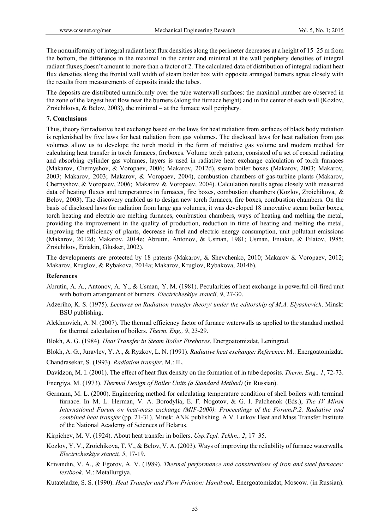The nonuniformity of integral radiant heat flux densities along the perimeter decreases at a height of 15–25 m from the bottom, the difference in the maximal in the center and minimal at the wall periphery densities of integral radiant fluxes doesn't amount to more than a factor of 2. The calculated data of distribution of integral radiant heat flux densities along the frontal wall width of steam boiler box with opposite arranged burners agree closely with the results from measurements of deposits inside the tubes.

The deposits are distributed ununiformly over the tube waterwall surfaces: the maximal number are observed in the zone of the largest heat flow near the burners (along the furnace height) and in the center of each wall (Kozlov, Zroichikova, & Belov, 2003), the minimal – at the furnace wall periphery.

#### **7. Conclusions**

Thus, theory for radiative heat exchange based on the laws for heat radiation from surfaces of black body radiation is replenished by five laws for heat radiation from gas volumes. The disclosed laws for heat radiation from gas volumes allow us to develope the torch model in the form of radiative gas volume and modern method for calculating heat transfer in torch furnaces, fireboxes. Volume torch pattern, consisted of a set of coaxial radiating and absorbing cylinder gas volumes, layers is used in radiative heat exchange calculation of torch furnaces (Makarov, Chernyshov, & Voropaev, 2006; Makarov, 2012d), steam boiler boxes (Makarov, 2003; Makarov, 2003; Makarov, 2003; Makarov, & Voropaev, 2004), combustion chambers of gas-turbine plants (Makarov, Chernyshov, & Voropaev, 2006; Makarov & Voropaev, 2004). Calculation results agree closely with measured data of heating fluxes and temperatures in furnaces, fire boxes, combustion chambers (Kozlov, Zroichikova, & Belov, 2003). The discovery enabled us to design new torch furnaces, fire boxes, combustion chambers. On the basis of disclosed laws for radiation from large gas volumes, it was developed 18 innovative steam boiler boxes, torch heating and electric arc melting furnaces, combustion chambers, ways of heating and melting the metal, providing the improvement in the quality of production, reduction in time of heating and melting the metal, improving the efficiency of plants, decrease in fuel and electric energy consumption, unit pollutant emissions (Makarov, 2012d; Makarov, 2014e; Abrutin, Antonov, & Usman, 1981; Usman, Eniakin, & Filatov, 1985; Zroichikov, Eniakin, Glusker, 2002).

The developments are protected by 18 patents (Makarov, & Shevchenko, 2010; Makarov & Voropaev, 2012; Makarov, Kruglov, & Rybakova, 2014a; Makarov, Kruglov, Rybakova, 2014b).

# **References**

- Abrutin, A. A., Antonov, A. Y., & Usman, Y. M. (1981). Pecularities of heat exchange in powerful oil-fired unit with bottom arrangement of burners. *Electricheskiye stancii, 9*, 27-30.
- Adzeriho, K. S. (1975). *Lectures on Radiation transfer theory/ under the editorship of M.A. Elyashevich*. Minsk: BSU publishing.
- Alekhnovich, A. N. (2007). The thermal efficiency factor of furnace waterwalls as applied to the standard method for thermal calculation of boilers. *Therm. Eng., 9*, 23-29.
- Blokh, A. G. (1984). *Heat Transfer in Steam Boiler Fireboxes*. Energoatomizdat, Leningrad.
- Blokh, A. G., Juravlev, Y. A., & Ryzkov, L. N. (1991). *Radiative heat exchange: Reference*. М.: Energoatomizdat.

Chandrasekar, S. (1993). *Radiation transfer*. М.: IL.

Davidzon, M. I. (2001). The effect of heat flux density on the formation of in tube deposits. *Therm. Eng., 1*, 72-73.

Energiya, M. (1973). *Thermal Design of Boiler Units (a Standard Method)* (in Russian).

- Germann, M. L. (2000). Engineering method for calculating temperature condition of shell boilers with terminal furnace. In M. L. Herman, V. A. Borodylia, E. F. Nogotov, & G. I. Palchenok (Eds.), *The IV Minsk International Forum on heat-mass exchange (MIF-2000): Proceedings of the Forum.P.2. Radiative and combined heat transfer* (pp. 21-31). Minsk: ANK publishing. A.V. Luikov Heat and Mass Transfer Institute of the National Academy of Sciences of Belarus.
- Kirpichev, M. V. (1924). About heat transfer in boilers. *Usp.Tepl. Tekhn., 2*, 17–35.
- Kozlov, Y. V., Zroichikova, T. V., & Belov, V. A. (2003). Ways of improving the reliability of furnace waterwalls. *Electricheskiye stancii, 5*, 17-19.
- Krivandin, V. A., & Egorov, А. V. (1989). *Thermal performance and constructions of iron and steel furnaces: textbook*. М.: Metallurgiya.
- Kutateladze, S. S. (1990). *Heat Transfer and Flow Friction: Handbook.* Energoatomizdat, Moscow. (in Russian).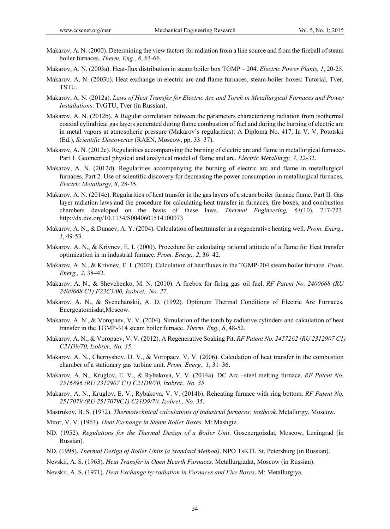- Makarov, A. N. (2000). Determining the view factors for radiation from a line source and from the fireball of steam boiler furnaces. *Therm. Eng., 8*, 63-66.
- Makarov, A. N. (2003a). Heat-flux distribution in steam boiler box ТGMP 204. *Electric Power Plants, 1*, 20-25.
- Makarov, A. N. (2003b). Heat exchange in electric arc and flame furnaces, steam-boiler boxes: Tutorial, Tver, TSTU.
- Makarov, A. N. (2012a). *Laws of Heat Transfer for Electric Arc and Torch in Metallurgical Furnaces and Power Installations*. TvGTU, Tver (in Russian).
- Makarov, A. N. (2012b). A Regular correlation between the parameters characterizing radiation from isothermal coaxial cylindrical gas layers generated during flame combustion of fuel and during the burning of electric arc in metal vapors at atmospheric pressure (Makarov's regularities): A Diploma No. 417. In V. V. Pototskii (Ed.), *Scientific Discoveries* (RAEN, Moscow, pp. 33–37).
- Makarov, A. N. (2012c). Regularities accompanying the burning of electric arc and flame in metallurgical furnaces. Part 1. Geometrical physical and analytical model of flame and arc. *Electric Metallurgy, 7*, 22-32.
- Makarov, A. N. (2012d). Regularities accompanying the burning of electric arc and flame in metallurgical furnaces. Part 2. Use of scientific discovery for decreasing the power consumption in metallurgical furnaces. *Electric Metallurgy, 8*, 28-35.
- Makarov, A. N. (2014e). Regularities of heat transfer in the gas layers of a steam boiler furnace flame. Part II. Gas layer radiation laws and the procedure for calculating heat transfer in furnaces, fire boxes, and combustion chambers developed on the basis of these laws. *Thermal Engineering, 61*(10), 717-723. http://dx.doi.org/10.1134/S0040601514100073
- Makarov, A. N., & Dunaev, A. Y. (2004). Calculation of heattransfer in a regenerative heating well. *Prom. Energ., 1*, 49-53.
- Makarov, A. N., & Krivnev, E. I. (2000). Procedure for calculating rational attitude of a flame for Heat transfer optimization in in industrial furnace. *Prom. Energ., 2*, 36–42.
- Makarov, A. N., & Krivnev, E. I. (2002). Calculation of heatfluxes in the TGMP-204 steam boiler furnace. *Prom. Energ., 2*, 38–42.
- Makarov, A. N., & Shevchenko, M. N. (2010). A firebox for firing gas–oil fuel. *RF Patent No. 2400668 (RU 2400668 C1) F23C3/00, Izobret., No. 27*.
- Makarov, A. N., & Svenchanskii, A. D. (1992). Optimum Thermal Conditions of Electric Arc Furnaces. Energoatomisdat,Moscow.
- Makarov, A. N., & Voropaev, V. V. (2004). Simulation of the torch by radiative cylinders and calculation of heat transfer in the TGMP-314 steam boiler furnace. *Therm. Eng., 8*, 48-52.
- Makarov, A. N., & Voropaev, V. V. (2012). A Regenerative Soaking Pit. *RF Patent No. 2457262 (RU 2312907 C1) C21D9/70, Izobret., No. 35*.
- Makarov, A. N., Chernyshov, D. V., & Voropaev, V. V. (2006). Calculation of heat transfer in the combustion chamber of a stationary gas turbine unit. *Prom. Energ., 1*, 31–36.
- Makarov, A. N., Kruglov, E. V., & Rybakova, V. V. (2014a). DC Arc –steel melting furnace. *RF Patent No. 2516896 (RU 2312907 C1) C21D9/70, Izobret., No. 35*.
- Makarov, A. N., Kruglov, E. V., Rybakova, V. V. (2014b). Reheating furnace with ring bottom. *RF Patent No. 2517079 (RU 2517079C1) C21D9/70, Izobret., No. 35*.
- Mastrukov, B. S. (1972). *Thermotechnical calculations of industrial furnaces: textbook*. Metallurgy, Moscow.
- Mitor, V. V. (1963). *Heat Exchange in Steam Boiler Boxes*. М: Mashgiz.
- ND. (1952). *Regulations for the Thermal Design of a Boiler Unit*. Gosenergoizdat, Moscow, Leningrad (in Russian).
- ND. (1998). *Thermal Design of Boiler Units (a Standard Method)*. NPO TsKTI, St. Petersburg (in Russian).
- Nevskii, A. S. (1963). *Heat Transfer in Open Hearth Furnaces.* Metallurgizdat, Moscow (in Russian).
- Nevskii, A. S. (1971). *Heat Exchange by radiation in Furnaces and Fire Boxes*. М: Metallurgiya.